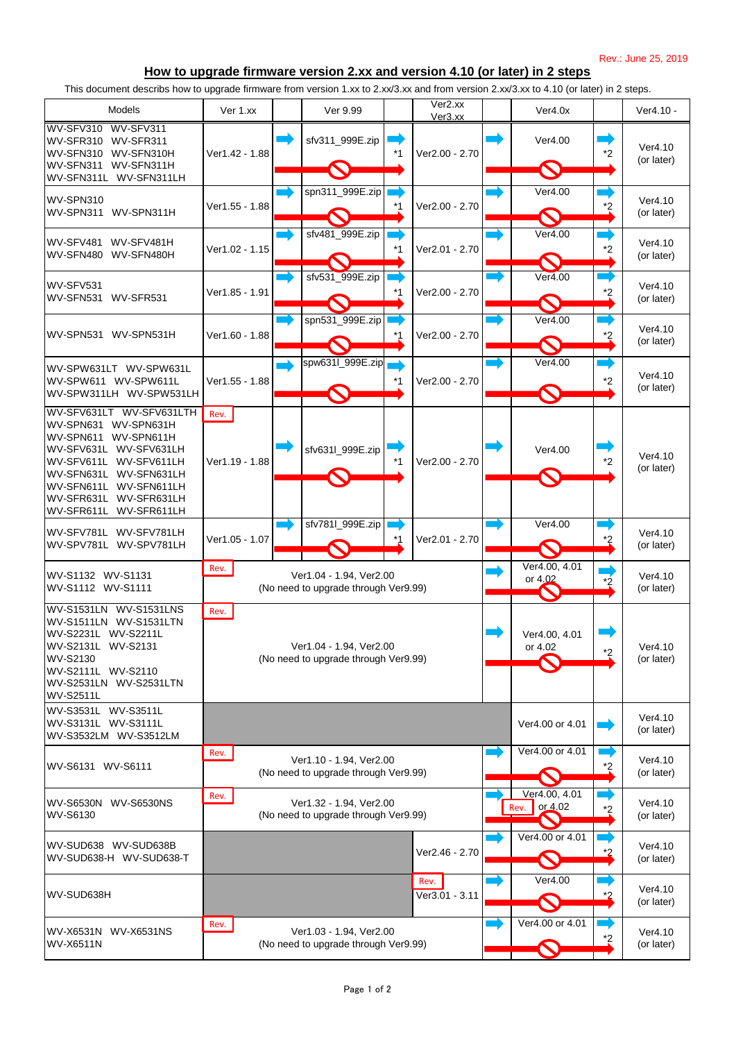Rev.: June 25, 2019

This document describs how to upgrade firmware from version 1.xx to 2.xx/3.xx and from version 2.xx/3.xx to 4.10 (or later) in 2 steps.

## **How to upgrade firmware version 2.xx and version 4.10 (or later) in 2 steps**

| <b>Models</b>                                                                                                                                                                                                                                                | Ver 1.xx                                                                |                                                                 | Ver 9.99                                                        |    | Ver2.xx<br>Ver3.xx     |  | Ver4.0x                          |         | Ver4.10 -             |
|--------------------------------------------------------------------------------------------------------------------------------------------------------------------------------------------------------------------------------------------------------------|-------------------------------------------------------------------------|-----------------------------------------------------------------|-----------------------------------------------------------------|----|------------------------|--|----------------------------------|---------|-----------------------|
| WV-SFV310 WV-SFV311<br>WV-SFR310 WV-SFR311<br>WV-SFN310<br>WV-SFN310H<br>WV-SFN311<br>WV-SFN311H<br>WV-SFN311L<br>WV-SFN311LH                                                                                                                                | Ver1.42 - 1.88                                                          |                                                                 | sfv311_999E.zip                                                 | *1 | Ver2.00 - 2.70         |  | Ver4.00<br>$\bigcirc$            | $*2$    | Ver4.10<br>(or later) |
| <b>WV-SPN310</b><br>WV-SPN311H<br>WV-SPN311                                                                                                                                                                                                                  | Ver1.55 - 1.88                                                          |                                                                 | spn311_999E.zip                                                 |    | Ver2.00 - 2.70         |  | Ver4.00                          | *2      | Ver4.10<br>(or later) |
| WV-SFV481<br>WV-SFV481H<br>WV-SFN480 WV-SFN480H                                                                                                                                                                                                              | Ver1.02 - 1.15                                                          |                                                                 | sfv481_999E.zip                                                 |    | Ver2.01 - 2.70         |  | Ver4.00                          | $*2$    | Ver4.10<br>(or later) |
| WV-SFV531<br>WV-SFR531<br>WV-SFN531                                                                                                                                                                                                                          | Ver1.85 - 1.91                                                          |                                                                 | sfv531_999E.zip                                                 |    | Ver2.00 - 2.70         |  | Ver4.00                          | $*2$    | Ver4.10<br>(or later) |
| WV-SPN531 WV-SPN531H                                                                                                                                                                                                                                         | Ver1.60 - 1.88                                                          |                                                                 | spn531_999E.zip                                                 |    | Ver2.00 - 2.70         |  | Ver4.00                          | $*2$    | Ver4.10<br>(or later) |
| WV-SPW631LT WV-SPW631L<br>WV-SPW611 WV-SPW611L<br>WV-SPW311LH WV-SPW531LH                                                                                                                                                                                    | Ver1.55 - 1.88                                                          |                                                                 | spw631l_999E.zip                                                |    | Ver2.00 - 2.70         |  | Ver4.00                          | $*2$    | Ver4.10<br>(or later) |
| WV-SFV631LTH<br>WV-SFV631LT<br>WV-SPN631<br>WV-SPN631H<br>WV-SPN611<br>WV-SPN611H<br>WV-SFV631L<br>WV-SFV631LH<br>WV-SFV611L<br>WV-SFV611LH<br>WV-SFN631L<br>WV-SFN631LH<br>WV-SFN611L<br>WV-SFN611LH<br>WV-SFR631L<br>WV-SFR631LH<br>WV-SFR611L WV-SFR611LH | Rev.<br>Ver1.19 - 1.88                                                  |                                                                 | sfv631l 999E.zip                                                |    | Ver2.00 - 2.70         |  | Ver4.00                          | $*_{2}$ | Ver4.10<br>(or later) |
| WV-SFV781L WV-SFV781LH<br>WV-SPV781L WV-SPV781LH                                                                                                                                                                                                             | Ver1.05 - 1.07                                                          |                                                                 | sfv781l_999E.zip                                                |    | Ver2.01 - 2.70         |  | Ver4.00                          |         | Ver4.10<br>(or later) |
| WV-S1132 WV-S1131<br>WV-S1112 WV-S1111                                                                                                                                                                                                                       | Rev.                                                                    | Ver1.04 - 1.94, Ver2.00<br>(No need to upgrade through Ver9.99) |                                                                 |    |                        |  | Ver4.00, 4.01<br>or 4,02         |         | Ver4.10<br>(or later) |
| WV-S1531LN WV-S1531LNS<br>WV-S1511LN WV-S1531LTN<br>WV-S2231L WV-S2211L<br>WV-S2131L WV-S2131<br><b>WV-S2130</b><br>WV-S2111L WV-S2110<br>WV-S2531LN WV-S2531LTN<br><b>WV-S2511L</b>                                                                         | Rev.<br>Ver1.04 - 1.94, Ver2.00<br>(No need to upgrade through Ver9.99) |                                                                 |                                                                 |    |                        |  | Ver4.00, 4.01<br>or 4.02         | $*2$    | Ver4.10<br>(or later) |
| WV-S3531L WV-S3511L<br>WV-S3131L WV-S3111L<br>WV-S3532LM WV-S3512LM                                                                                                                                                                                          |                                                                         |                                                                 |                                                                 |    |                        |  | Ver4.00 or 4.01                  |         | Ver4.10<br>(or later) |
| WV-S6131 WV-S6111                                                                                                                                                                                                                                            | Rev.<br>Ver1.10 - 1.94, Ver2.00<br>(No need to upgrade through Ver9.99) |                                                                 |                                                                 |    |                        |  | Ver4.00 or 4.01                  | *2      | Ver4.10<br>(or later) |
| <b>WV-S6530N</b><br><b>WV-S6530NS</b><br><b>WV-S6130</b>                                                                                                                                                                                                     | Rev.<br>Ver1.32 - 1.94, Ver2.00<br>(No need to upgrade through Ver9.99) |                                                                 |                                                                 |    |                        |  | Ver4.00, 4.01<br>or 4.02<br>Rev. | $*_{2}$ | Ver4.10<br>(or later) |
| WV-SUD638 WV-SUD638B<br>WV-SUD638-H WV-SUD638-T                                                                                                                                                                                                              |                                                                         |                                                                 |                                                                 |    | Ver2.46 - 2.70         |  | Ver4.00 or 4.01                  |         | Ver4.10<br>(or later) |
| WV-SUD638H                                                                                                                                                                                                                                                   |                                                                         |                                                                 |                                                                 |    | Rev.<br>Ver3.01 - 3.11 |  | Ver4.00                          |         | Ver4.10<br>(or later) |
| WV-X6531N WV-X6531NS<br><b>WV-X6511N</b>                                                                                                                                                                                                                     | Rev.                                                                    |                                                                 | Ver1.03 - 1.94, Ver2.00<br>(No need to upgrade through Ver9.99) |    |                        |  | Ver4.00 or 4.01                  | *2      | Ver4.10<br>(or later) |

Page 1 of 2